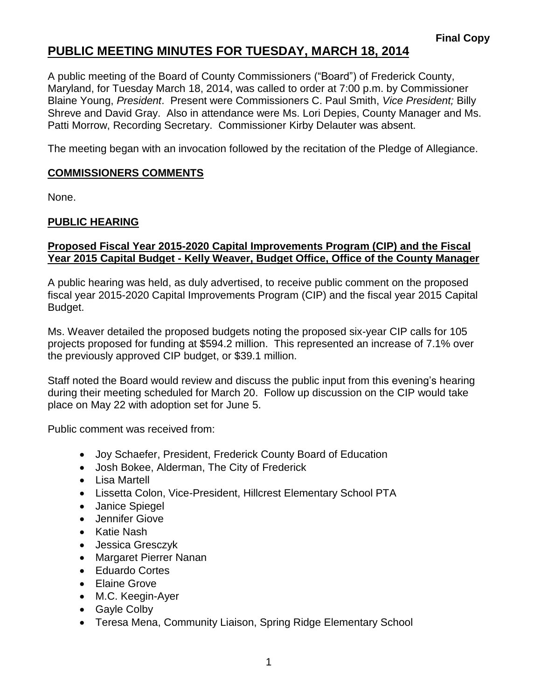# **PUBLIC MEETING MINUTES FOR TUESDAY, MARCH 18, 2014**

A public meeting of the Board of County Commissioners ("Board") of Frederick County, Maryland, for Tuesday March 18, 2014, was called to order at 7:00 p.m. by Commissioner Blaine Young, *President*. Present were Commissioners C. Paul Smith, *Vice President;* Billy Shreve and David Gray. Also in attendance were Ms. Lori Depies, County Manager and Ms. Patti Morrow, Recording Secretary. Commissioner Kirby Delauter was absent.

The meeting began with an invocation followed by the recitation of the Pledge of Allegiance.

#### **COMMISSIONERS COMMENTS**

None.

## **PUBLIC HEARING**

#### **Proposed Fiscal Year 2015-2020 Capital Improvements Program (CIP) and the Fiscal Year 2015 Capital Budget - Kelly Weaver, Budget Office, Office of the County Manager**

A public hearing was held, as duly advertised, to receive public comment on the proposed fiscal year 2015-2020 Capital Improvements Program (CIP) and the fiscal year 2015 Capital Budget.

Ms. Weaver detailed the proposed budgets noting the proposed six-year CIP calls for 105 projects proposed for funding at \$594.2 million. This represented an increase of 7.1% over the previously approved CIP budget, or \$39.1 million.

Staff noted the Board would review and discuss the public input from this evening's hearing during their meeting scheduled for March 20. Follow up discussion on the CIP would take place on May 22 with adoption set for June 5.

Public comment was received from:

- Joy Schaefer, President, Frederick County Board of Education
- Josh Bokee, Alderman, The City of Frederick
- Lisa Martell
- Lissetta Colon, Vice-President, Hillcrest Elementary School PTA
- Janice Spiegel
- **•** Jennifer Giove
- Katie Nash
- Jessica Gresczyk
- Margaret Pierrer Nanan
- Eduardo Cortes
- Elaine Grove
- M.C. Keegin-Ayer
- Gayle Colby
- Teresa Mena, Community Liaison, Spring Ridge Elementary School